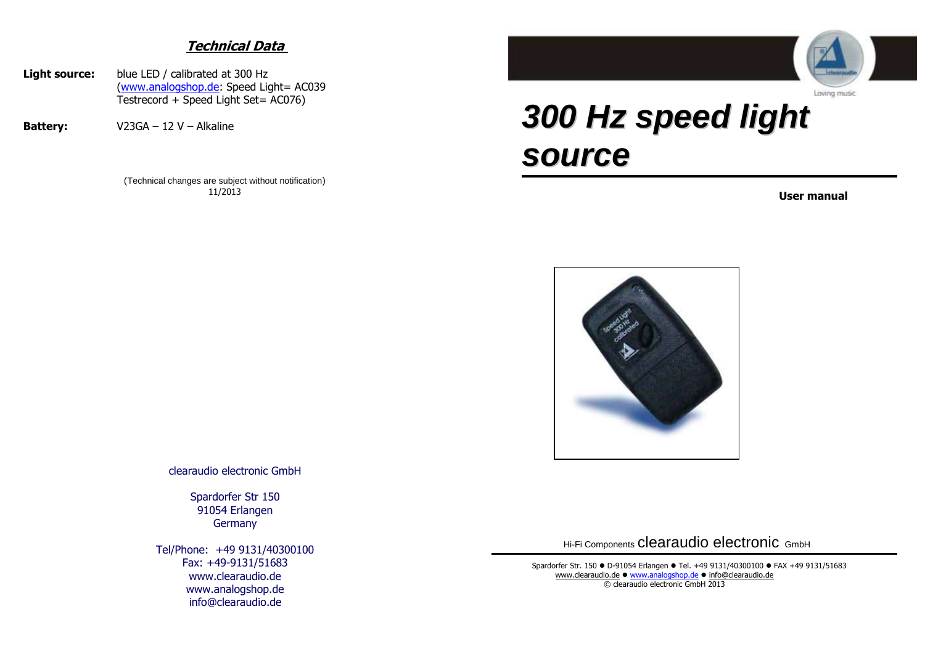## **Technical Data**

- **Light source:** blue LED / calibrated at 300 Hz [\(www.analogshop.de:](http://www.analogshop.de/) Speed Light= AC039 Testrecord + Speed Light Set= AC076)
- **Battery:** V23GA 12 V Alkaline

(Technical changes are subject without notification) 11/2013



## *300 Hz speed light source*

**User manual** 



clearaudio electronic GmbH

Spardorfer Str 150 91054 Erlangen **Germany** 

Tel/Phone: +49 9131/40300100 Fax: +49-9131/51683 www.clearaudio.de www.analogshop.de info@clearaudio.de

Hi-Fi Components clearaudio electronic GmbH

Spardorfer Str. 150 · D-91054 Erlangen · Tel. +49 9131/40300100 · FAX +49 9131/51683 [www.clearaudio.de](http://www.clearaudio.de/)  $\bullet$  [www.analogshop.de](http://www.analogshop.de/)  $\bullet$  [info@clearaudio.de](mailto:info@clearaudio.de) © clearaudio electronic GmbH 2013